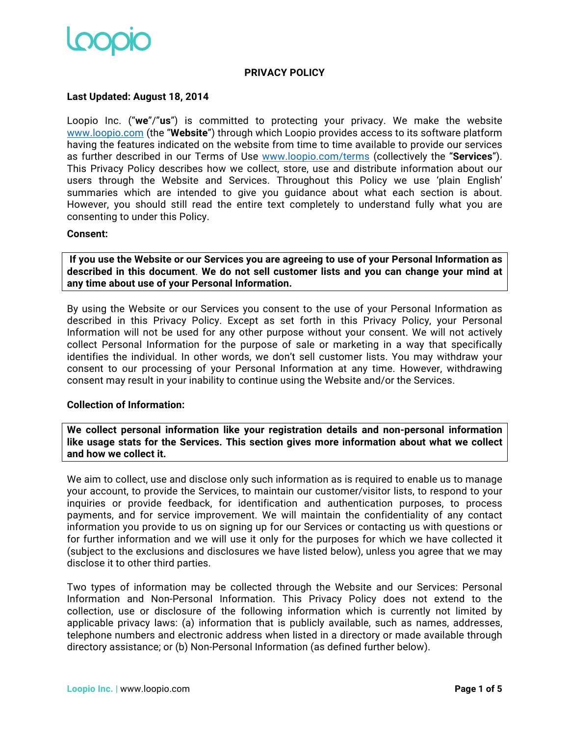

## **PRIVACY POLICY**

## **Last Updated: August 18, 2014**

Loopio Inc. ("**we**"/"**us**") is committed to protecting your privacy. We make the website www.loopio.com (the "**Website**") through which Loopio provides access to its software platform having the features indicated on the website from time to time available to provide our services as further described in our Terms of Use www.loopio.com/terms (collectively the "**Services**"). This Privacy Policy describes how we collect, store, use and distribute information about our users through the Website and Services. Throughout this Policy we use 'plain English' summaries which are intended to give you guidance about what each section is about. However, you should still read the entire text completely to understand fully what you are consenting to under this Policy.

## **Consent:**

**If you use the Website or our Services you are agreeing to use of your Personal Information as described in this document**. **We do not sell customer lists and you can change your mind at any time about use of your Personal Information.**

By using the Website or our Services you consent to the use of your Personal Information as described in this Privacy Policy. Except as set forth in this Privacy Policy, your Personal Information will not be used for any other purpose without your consent. We will not actively collect Personal Information for the purpose of sale or marketing in a way that specifically identifies the individual. In other words, we don't sell customer lists. You may withdraw your consent to our processing of your Personal Information at any time. However, withdrawing consent may result in your inability to continue using the Website and/or the Services.

## **Collection of Information:**

**We collect personal information like your registration details and non-personal information like usage stats for the Services. This section gives more information about what we collect and how we collect it.**

We aim to collect, use and disclose only such information as is required to enable us to manage your account, to provide the Services, to maintain our customer/visitor lists, to respond to your inquiries or provide feedback, for identification and authentication purposes, to process payments, and for service improvement. We will maintain the confidentiality of any contact information you provide to us on signing up for our Services or contacting us with questions or for further information and we will use it only for the purposes for which we have collected it (subject to the exclusions and disclosures we have listed below), unless you agree that we may disclose it to other third parties.

Two types of information may be collected through the Website and our Services: Personal Information and Non-Personal Information. This Privacy Policy does not extend to the collection, use or disclosure of the following information which is currently not limited by applicable privacy laws: (a) information that is publicly available, such as names, addresses, telephone numbers and electronic address when listed in a directory or made available through directory assistance; or (b) Non-Personal Information (as defined further below).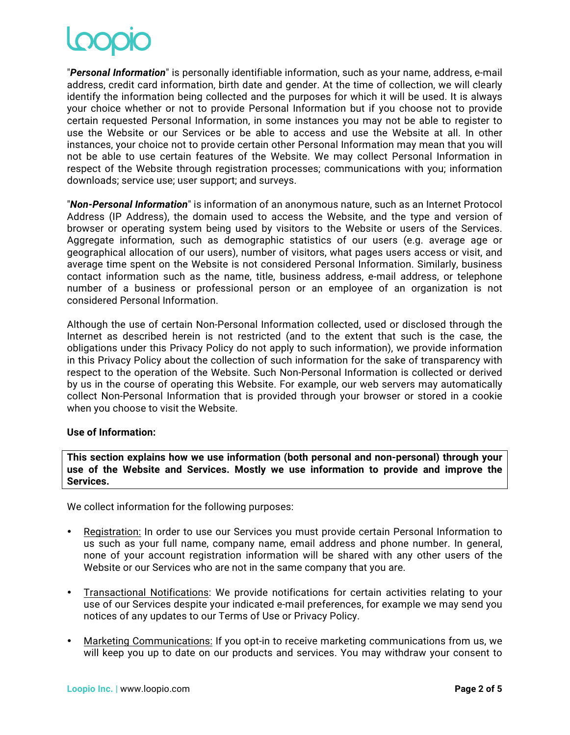"*Personal Information*" is personally identifiable information, such as your name, address, e-mail address, credit card information, birth date and gender. At the time of collection, we will clearly identify the information being collected and the purposes for which it will be used. It is always your choice whether or not to provide Personal Information but if you choose not to provide certain requested Personal Information, in some instances you may not be able to register to use the Website or our Services or be able to access and use the Website at all. In other instances, your choice not to provide certain other Personal Information may mean that you will not be able to use certain features of the Website. We may collect Personal Information in respect of the Website through registration processes; communications with you; information downloads; service use; user support; and surveys.

"*Non-Personal Information*" is information of an anonymous nature, such as an Internet Protocol Address (IP Address), the domain used to access the Website, and the type and version of browser or operating system being used by visitors to the Website or users of the Services. Aggregate information, such as demographic statistics of our users (e.g. average age or geographical allocation of our users), number of visitors, what pages users access or visit, and average time spent on the Website is not considered Personal Information. Similarly, business contact information such as the name, title, business address, e-mail address, or telephone number of a business or professional person or an employee of an organization is not considered Personal Information.

Although the use of certain Non-Personal Information collected, used or disclosed through the Internet as described herein is not restricted (and to the extent that such is the case, the obligations under this Privacy Policy do not apply to such information), we provide information in this Privacy Policy about the collection of such information for the sake of transparency with respect to the operation of the Website. Such Non-Personal Information is collected or derived by us in the course of operating this Website. For example, our web servers may automatically collect Non-Personal Information that is provided through your browser or stored in a cookie when you choose to visit the Website.

# **Use of Information:**

**This section explains how we use information (both personal and non-personal) through your use of the Website and Services. Mostly we use information to provide and improve the Services.**

We collect information for the following purposes:

- Registration: In order to use our Services you must provide certain Personal Information to us such as your full name, company name, email address and phone number. In general, none of your account registration information will be shared with any other users of the Website or our Services who are not in the same company that you are.
- Transactional Notifications: We provide notifications for certain activities relating to your use of our Services despite your indicated e-mail preferences, for example we may send you notices of any updates to our Terms of Use or Privacy Policy.
- Marketing Communications: If you opt-in to receive marketing communications from us, we will keep you up to date on our products and services. You may withdraw your consent to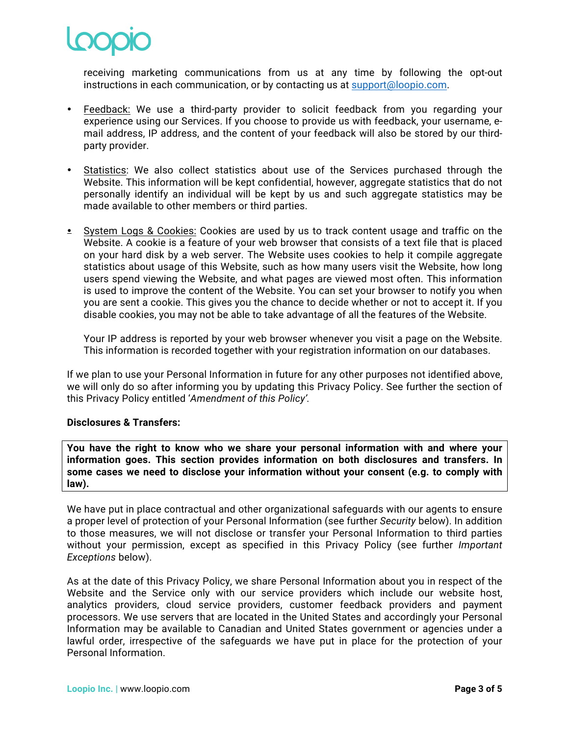

receiving marketing communications from us at any time by following the opt-out instructions in each communication, or by contacting us at support@loopio.com.

- Feedback: We use a third-party provider to solicit feedback from you regarding your experience using our Services. If you choose to provide us with feedback, your username, email address, IP address, and the content of your feedback will also be stored by our thirdparty provider.
- Statistics: We also collect statistics about use of the Services purchased through the Website. This information will be kept confidential, however, aggregate statistics that do not personally identify an individual will be kept by us and such aggregate statistics may be made available to other members or third parties.
- System Logs & Cookies: Cookies are used by us to track content usage and traffic on the Website. A cookie is a feature of your web browser that consists of a text file that is placed on your hard disk by a web server. The Website uses cookies to help it compile aggregate statistics about usage of this Website, such as how many users visit the Website, how long users spend viewing the Website, and what pages are viewed most often. This information is used to improve the content of the Website. You can set your browser to notify you when you are sent a cookie. This gives you the chance to decide whether or not to accept it. If you disable cookies, you may not be able to take advantage of all the features of the Website.

Your IP address is reported by your web browser whenever you visit a page on the Website. This information is recorded together with your registration information on our databases.

If we plan to use your Personal Information in future for any other purposes not identified above, we will only do so after informing you by updating this Privacy Policy. See further the section of this Privacy Policy entitled '*Amendment of this Policy'.*

# **Disclosures & Transfers:**

**You have the right to know who we share your personal information with and where your information goes. This section provides information on both disclosures and transfers. In some cases we need to disclose your information without your consent (e.g. to comply with law).**

We have put in place contractual and other organizational safeguards with our agents to ensure a proper level of protection of your Personal Information (see further *Security* below). In addition to those measures, we will not disclose or transfer your Personal Information to third parties without your permission, except as specified in this Privacy Policy (see further *Important Exceptions* below).

As at the date of this Privacy Policy, we share Personal Information about you in respect of the Website and the Service only with our service providers which include our website host, analytics providers, cloud service providers, customer feedback providers and payment processors. We use servers that are located in the United States and accordingly your Personal Information may be available to Canadian and United States government or agencies under a lawful order, irrespective of the safeguards we have put in place for the protection of your Personal Information.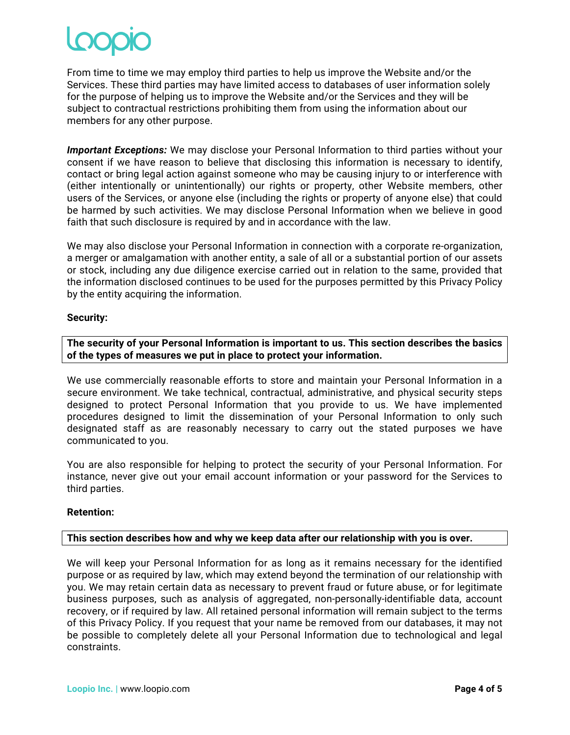From time to time we may employ third parties to help us improve the Website and/or the Services. These third parties may have limited access to databases of user information solely for the purpose of helping us to improve the Website and/or the Services and they will be subject to contractual restrictions prohibiting them from using the information about our members for any other purpose.

*Important Exceptions:* We may disclose your Personal Information to third parties without your consent if we have reason to believe that disclosing this information is necessary to identify, contact or bring legal action against someone who may be causing injury to or interference with (either intentionally or unintentionally) our rights or property, other Website members, other users of the Services, or anyone else (including the rights or property of anyone else) that could be harmed by such activities. We may disclose Personal Information when we believe in good faith that such disclosure is required by and in accordance with the law.

We may also disclose your Personal Information in connection with a corporate re-organization, a merger or amalgamation with another entity, a sale of all or a substantial portion of our assets or stock, including any due diligence exercise carried out in relation to the same, provided that the information disclosed continues to be used for the purposes permitted by this Privacy Policy by the entity acquiring the information.

# **Security:**

**The security of your Personal Information is important to us. This section describes the basics of the types of measures we put in place to protect your information.**

We use commercially reasonable efforts to store and maintain your Personal Information in a secure environment. We take technical, contractual, administrative, and physical security steps designed to protect Personal Information that you provide to us. We have implemented procedures designed to limit the dissemination of your Personal Information to only such designated staff as are reasonably necessary to carry out the stated purposes we have communicated to you.

You are also responsible for helping to protect the security of your Personal Information. For instance, never give out your email account information or your password for the Services to third parties.

# **Retention:**

# **This section describes how and why we keep data after our relationship with you is over.**

We will keep your Personal Information for as long as it remains necessary for the identified purpose or as required by law, which may extend beyond the termination of our relationship with you. We may retain certain data as necessary to prevent fraud or future abuse, or for legitimate business purposes, such as analysis of aggregated, non-personally-identifiable data, account recovery, or if required by law. All retained personal information will remain subject to the terms of this Privacy Policy. If you request that your name be removed from our databases, it may not be possible to completely delete all your Personal Information due to technological and legal constraints.